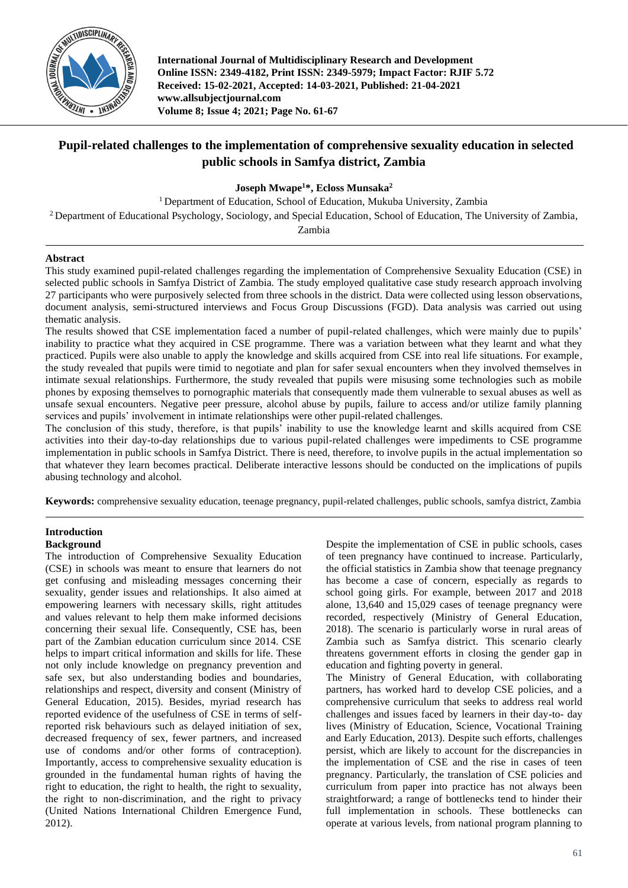

**International Journal of Multidisciplinary Research and Development Online ISSN: 2349-4182, Print ISSN: 2349-5979; Impact Factor: RJIF 5.72 Received: 15-02-2021, Accepted: 14-03-2021, Published: 21-04-2021 www.allsubjectjournal.com Volume 8; Issue 4; 2021; Page No. 61-67**

# **Pupil-related challenges to the implementation of comprehensive sexuality education in selected public schools in Samfya district, Zambia**

**Joseph Mwape<sup>1</sup>\*, Ecloss Munsaka<sup>2</sup>**

<sup>1</sup> Department of Education, School of Education, Mukuba University, Zambia

<sup>2</sup> Department of Educational Psychology, Sociology, and Special Education, School of Education, The University of Zambia,

Zambia

## **Abstract**

This study examined pupil-related challenges regarding the implementation of Comprehensive Sexuality Education (CSE) in selected public schools in Samfya District of Zambia. The study employed qualitative case study research approach involving 27 participants who were purposively selected from three schools in the district. Data were collected using lesson observations, document analysis, semi-structured interviews and Focus Group Discussions (FGD). Data analysis was carried out using thematic analysis.

The results showed that CSE implementation faced a number of pupil-related challenges, which were mainly due to pupils' inability to practice what they acquired in CSE programme. There was a variation between what they learnt and what they practiced. Pupils were also unable to apply the knowledge and skills acquired from CSE into real life situations. For example, the study revealed that pupils were timid to negotiate and plan for safer sexual encounters when they involved themselves in intimate sexual relationships. Furthermore, the study revealed that pupils were misusing some technologies such as mobile phones by exposing themselves to pornographic materials that consequently made them vulnerable to sexual abuses as well as unsafe sexual encounters. Negative peer pressure, alcohol abuse by pupils, failure to access and/or utilize family planning services and pupils' involvement in intimate relationships were other pupil-related challenges.

The conclusion of this study, therefore, is that pupils' inability to use the knowledge learnt and skills acquired from CSE activities into their day-to-day relationships due to various pupil-related challenges were impediments to CSE programme implementation in public schools in Samfya District. There is need, therefore, to involve pupils in the actual implementation so that whatever they learn becomes practical. Deliberate interactive lessons should be conducted on the implications of pupils abusing technology and alcohol.

**Keywords:** comprehensive sexuality education, teenage pregnancy, pupil-related challenges, public schools, samfya district, Zambia

# **Introduction**

## **Background**

The introduction of Comprehensive Sexuality Education (CSE) in schools was meant to ensure that learners do not get confusing and misleading messages concerning their sexuality, gender issues and relationships. It also aimed at empowering learners with necessary skills, right attitudes and values relevant to help them make informed decisions concerning their sexual life. Consequently, CSE has, been part of the Zambian education curriculum since 2014. CSE helps to impart critical information and skills for life. These not only include knowledge on pregnancy prevention and safe sex, but also understanding bodies and boundaries, relationships and respect, diversity and consent (Ministry of General Education, 2015). Besides, myriad research has reported evidence of the usefulness of CSE in terms of selfreported risk behaviours such as delayed initiation of sex, decreased frequency of sex, fewer partners, and increased use of condoms and/or other forms of contraception). Importantly, access to comprehensive sexuality education is grounded in the fundamental human rights of having the right to education, the right to health, the right to sexuality, the right to non-discrimination, and the right to privacy (United Nations International Children Emergence Fund, 2012).

Despite the implementation of CSE in public schools, cases of teen pregnancy have continued to increase. Particularly, the official statistics in Zambia show that teenage pregnancy has become a case of concern, especially as regards to school going girls. For example, between 2017 and 2018 alone, 13,640 and 15,029 cases of teenage pregnancy were recorded, respectively (Ministry of General Education, 2018). The scenario is particularly worse in rural areas of Zambia such as Samfya district. This scenario clearly threatens government efforts in closing the gender gap in education and fighting poverty in general.

The Ministry of General Education, with collaborating partners, has worked hard to develop CSE policies, and a comprehensive curriculum that seeks to address real world challenges and issues faced by learners in their day-to- day lives (Ministry of Education, Science, Vocational Training and Early Education, 2013). Despite such efforts, challenges persist, which are likely to account for the discrepancies in the implementation of CSE and the rise in cases of teen pregnancy. Particularly, the translation of CSE policies and curriculum from paper into practice has not always been straightforward; a range of bottlenecks tend to hinder their full implementation in schools. These bottlenecks can operate at various levels, from national program planning to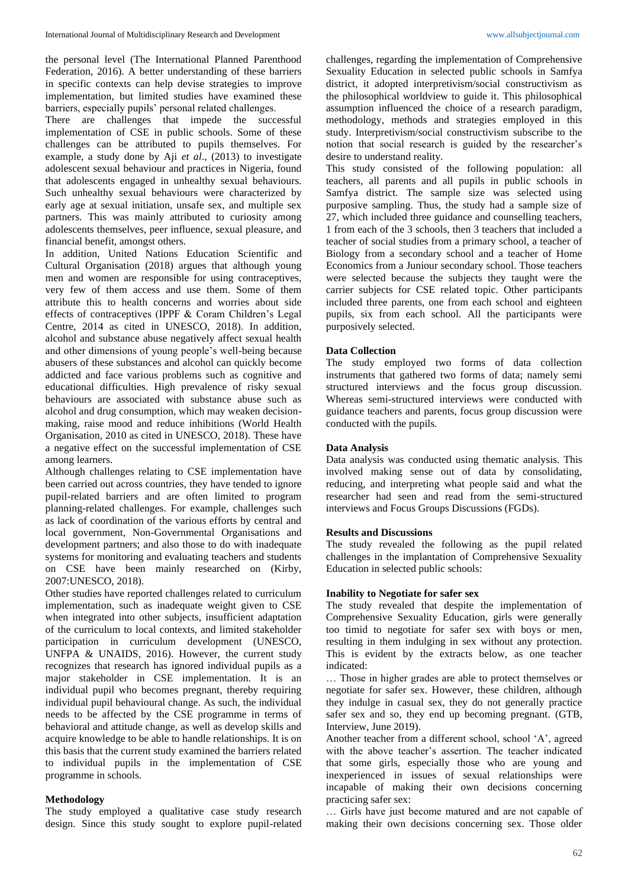the personal level (The International Planned Parenthood Federation, 2016). A better understanding of these barriers in specific contexts can help devise strategies to improve implementation, but limited studies have examined these barriers, especially pupils' personal related challenges.

There are challenges that impede the successful implementation of CSE in public schools. Some of these challenges can be attributed to pupils themselves. For example, a study done by Aji *et al*., (2013) to investigate adolescent sexual behaviour and practices in Nigeria, found that adolescents engaged in unhealthy sexual behaviours. Such unhealthy sexual behaviours were characterized by early age at sexual initiation, unsafe sex, and multiple sex partners. This was mainly attributed to curiosity among adolescents themselves, peer influence, sexual pleasure, and financial benefit, amongst others.

In addition, United Nations Education Scientific and Cultural Organisation (2018) argues that although young men and women are responsible for using contraceptives, very few of them access and use them. Some of them attribute this to health concerns and worries about side effects of contraceptives (IPPF & Coram Children's Legal Centre, 2014 as cited in UNESCO, 2018). In addition, alcohol and substance abuse negatively affect sexual health and other dimensions of young people's well-being because abusers of these substances and alcohol can quickly become addicted and face various problems such as cognitive and educational difficulties. High prevalence of risky sexual behaviours are associated with substance abuse such as alcohol and drug consumption, which may weaken decisionmaking, raise mood and reduce inhibitions (World Health Organisation, 2010 as cited in UNESCO, 2018). These have a negative effect on the successful implementation of CSE among learners.

Although challenges relating to CSE implementation have been carried out across countries, they have tended to ignore pupil-related barriers and are often limited to program planning-related challenges. For example, challenges such as lack of coordination of the various efforts by central and local government, Non-Governmental Organisations and development partners; and also those to do with inadequate systems for monitoring and evaluating teachers and students on CSE have been mainly researched on (Kirby, 2007:UNESCO, 2018).

Other studies have reported challenges related to curriculum implementation, such as inadequate weight given to CSE when integrated into other subjects, insufficient adaptation of the curriculum to local contexts, and limited stakeholder participation in curriculum development (UNESCO, UNFPA & UNAIDS, 2016). However, the current study recognizes that research has ignored individual pupils as a major stakeholder in CSE implementation. It is an individual pupil who becomes pregnant, thereby requiring individual pupil behavioural change. As such, the individual needs to be affected by the CSE programme in terms of behavioral and attitude change, as well as develop skills and acquire knowledge to be able to handle relationships. It is on this basis that the current study examined the barriers related to individual pupils in the implementation of CSE programme in schools.

## **Methodology**

The study employed a qualitative case study research design. Since this study sought to explore pupil-related challenges, regarding the implementation of Comprehensive Sexuality Education in selected public schools in Samfya district, it adopted interpretivism/social constructivism as the philosophical worldview to guide it. This philosophical assumption influenced the choice of a research paradigm, methodology, methods and strategies employed in this study. Interpretivism/social constructivism subscribe to the notion that social research is guided by the researcher's desire to understand reality.

This study consisted of the following population: all teachers, all parents and all pupils in public schools in Samfya district. The sample size was selected using purposive sampling. Thus, the study had a sample size of 27, which included three guidance and counselling teachers, 1 from each of the 3 schools, then 3 teachers that included a teacher of social studies from a primary school, a teacher of Biology from a secondary school and a teacher of Home Economics from a Juniour secondary school. Those teachers were selected because the subjects they taught were the carrier subjects for CSE related topic. Other participants included three parents, one from each school and eighteen pupils, six from each school. All the participants were purposively selected.

## **Data Collection**

The study employed two forms of data collection instruments that gathered two forms of data; namely semi structured interviews and the focus group discussion. Whereas semi-structured interviews were conducted with guidance teachers and parents, focus group discussion were conducted with the pupils.

## **Data Analysis**

Data analysis was conducted using thematic analysis. This involved making sense out of data by consolidating, reducing, and interpreting what people said and what the researcher had seen and read from the semi-structured interviews and Focus Groups Discussions (FGDs).

#### **Results and Discussions**

The study revealed the following as the pupil related challenges in the implantation of Comprehensive Sexuality Education in selected public schools:

#### **Inability to Negotiate for safer sex**

The study revealed that despite the implementation of Comprehensive Sexuality Education, girls were generally too timid to negotiate for safer sex with boys or men, resulting in them indulging in sex without any protection. This is evident by the extracts below, as one teacher indicated:

… Those in higher grades are able to protect themselves or negotiate for safer sex. However, these children, although they indulge in casual sex, they do not generally practice safer sex and so, they end up becoming pregnant. (GTB, Interview, June 2019).

Another teacher from a different school, school 'A', agreed with the above teacher's assertion. The teacher indicated that some girls, especially those who are young and inexperienced in issues of sexual relationships were incapable of making their own decisions concerning practicing safer sex:

… Girls have just become matured and are not capable of making their own decisions concerning sex. Those older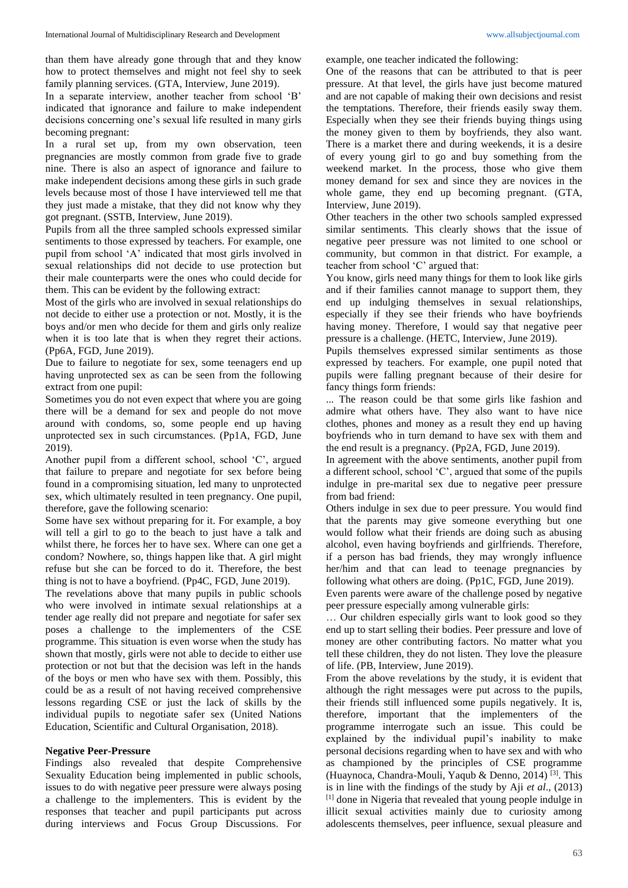than them have already gone through that and they know how to protect themselves and might not feel shy to seek family planning services. (GTA, Interview, June 2019).

In a separate interview, another teacher from school 'B' indicated that ignorance and failure to make independent decisions concerning one's sexual life resulted in many girls becoming pregnant:

In a rural set up, from my own observation, teen pregnancies are mostly common from grade five to grade nine. There is also an aspect of ignorance and failure to make independent decisions among these girls in such grade levels because most of those I have interviewed tell me that they just made a mistake, that they did not know why they got pregnant. (SSTB, Interview, June 2019).

Pupils from all the three sampled schools expressed similar sentiments to those expressed by teachers. For example, one pupil from school 'A' indicated that most girls involved in sexual relationships did not decide to use protection but their male counterparts were the ones who could decide for them. This can be evident by the following extract:

Most of the girls who are involved in sexual relationships do not decide to either use a protection or not. Mostly, it is the boys and/or men who decide for them and girls only realize when it is too late that is when they regret their actions. (Pp6A, FGD, June 2019).

Due to failure to negotiate for sex, some teenagers end up having unprotected sex as can be seen from the following extract from one pupil:

Sometimes you do not even expect that where you are going there will be a demand for sex and people do not move around with condoms, so, some people end up having unprotected sex in such circumstances. (Pp1A, FGD, June 2019).

Another pupil from a different school, school 'C', argued that failure to prepare and negotiate for sex before being found in a compromising situation, led many to unprotected sex, which ultimately resulted in teen pregnancy. One pupil, therefore, gave the following scenario:

Some have sex without preparing for it. For example, a boy will tell a girl to go to the beach to just have a talk and whilst there, he forces her to have sex. Where can one get a condom? Nowhere, so, things happen like that. A girl might refuse but she can be forced to do it. Therefore, the best thing is not to have a boyfriend. (Pp4C, FGD, June 2019).

The revelations above that many pupils in public schools who were involved in intimate sexual relationships at a tender age really did not prepare and negotiate for safer sex poses a challenge to the implementers of the CSE programme. This situation is even worse when the study has shown that mostly, girls were not able to decide to either use protection or not but that the decision was left in the hands of the boys or men who have sex with them. Possibly, this could be as a result of not having received comprehensive lessons regarding CSE or just the lack of skills by the individual pupils to negotiate safer sex (United Nations Education, Scientific and Cultural Organisation, 2018).

#### **Negative Peer-Pressure**

Findings also revealed that despite Comprehensive Sexuality Education being implemented in public schools, issues to do with negative peer pressure were always posing a challenge to the implementers. This is evident by the responses that teacher and pupil participants put across during interviews and Focus Group Discussions. For

example, one teacher indicated the following:

One of the reasons that can be attributed to that is peer pressure. At that level, the girls have just become matured and are not capable of making their own decisions and resist the temptations. Therefore, their friends easily sway them. Especially when they see their friends buying things using the money given to them by boyfriends, they also want. There is a market there and during weekends, it is a desire of every young girl to go and buy something from the weekend market. In the process, those who give them money demand for sex and since they are novices in the whole game, they end up becoming pregnant. (GTA, Interview, June 2019).

Other teachers in the other two schools sampled expressed similar sentiments. This clearly shows that the issue of negative peer pressure was not limited to one school or community, but common in that district. For example, a teacher from school 'C' argued that:

You know, girls need many things for them to look like girls and if their families cannot manage to support them, they end up indulging themselves in sexual relationships, especially if they see their friends who have boyfriends having money. Therefore, I would say that negative peer pressure is a challenge. (HETC, Interview, June 2019).

Pupils themselves expressed similar sentiments as those expressed by teachers. For example, one pupil noted that pupils were falling pregnant because of their desire for fancy things form friends:

... The reason could be that some girls like fashion and admire what others have. They also want to have nice clothes, phones and money as a result they end up having boyfriends who in turn demand to have sex with them and the end result is a pregnancy. (Pp2A, FGD, June 2019).

In agreement with the above sentiments, another pupil from a different school, school 'C', argued that some of the pupils indulge in pre-marital sex due to negative peer pressure from bad friend:

Others indulge in sex due to peer pressure. You would find that the parents may give someone everything but one would follow what their friends are doing such as abusing alcohol, even having boyfriends and girlfriends. Therefore, if a person has bad friends, they may wrongly influence her/him and that can lead to teenage pregnancies by following what others are doing. (Pp1C, FGD, June 2019).

Even parents were aware of the challenge posed by negative peer pressure especially among vulnerable girls:

… Our children especially girls want to look good so they end up to start selling their bodies. Peer pressure and love of money are other contributing factors. No matter what you tell these children, they do not listen. They love the pleasure of life. (PB, Interview, June 2019).

From the above revelations by the study, it is evident that although the right messages were put across to the pupils, their friends still influenced some pupils negatively. It is, therefore, important that the implementers of the programme interrogate such an issue. This could be explained by the individual pupil's inability to make personal decisions regarding when to have sex and with who as championed by the principles of CSE programme (Huaynoca, Chandra-Mouli, Yaqub & Denno, 2014) <sup>[3]</sup>. This is in line with the findings of the study by Aji *et al*., (2013) [1] done in Nigeria that revealed that young people indulge in illicit sexual activities mainly due to curiosity among adolescents themselves, peer influence, sexual pleasure and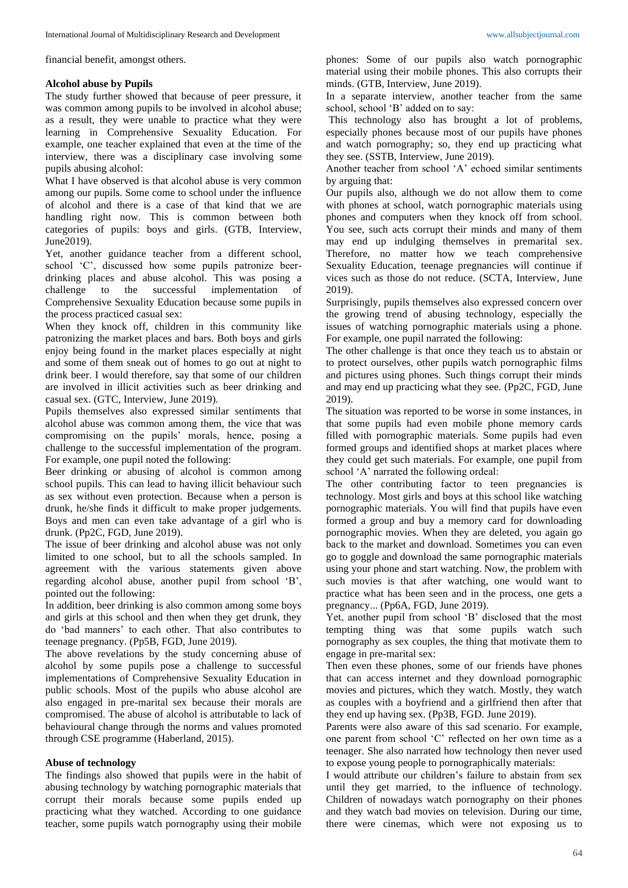financial benefit, amongst others.

## **Alcohol abuse by Pupils**

The study further showed that because of peer pressure, it was common among pupils to be involved in alcohol abuse; as a result, they were unable to practice what they were learning in Comprehensive Sexuality Education. For example, one teacher explained that even at the time of the interview, there was a disciplinary case involving some pupils abusing alcohol:

What I have observed is that alcohol abuse is very common among our pupils. Some come to school under the influence of alcohol and there is a case of that kind that we are handling right now. This is common between both categories of pupils: boys and girls. (GTB, Interview, June2019).

Yet, another guidance teacher from a different school, school 'C', discussed how some pupils patronize beerdrinking places and abuse alcohol. This was posing a challenge to the successful implementation of Comprehensive Sexuality Education because some pupils in the process practiced casual sex:

When they knock off, children in this community like patronizing the market places and bars. Both boys and girls enjoy being found in the market places especially at night and some of them sneak out of homes to go out at night to drink beer. I would therefore, say that some of our children are involved in illicit activities such as beer drinking and casual sex. (GTC, Interview, June 2019).

Pupils themselves also expressed similar sentiments that alcohol abuse was common among them, the vice that was compromising on the pupils' morals, hence, posing a challenge to the successful implementation of the program. For example, one pupil noted the following:

Beer drinking or abusing of alcohol is common among school pupils. This can lead to having illicit behaviour such as sex without even protection. Because when a person is drunk, he/she finds it difficult to make proper judgements. Boys and men can even take advantage of a girl who is drunk. (Pp2C, FGD, June 2019).

The issue of beer drinking and alcohol abuse was not only limited to one school, but to all the schools sampled. In agreement with the various statements given above regarding alcohol abuse, another pupil from school 'B', pointed out the following:

In addition, beer drinking is also common among some boys and girls at this school and then when they get drunk, they do 'bad manners' to each other. That also contributes to teenage pregnancy. (Pp5B, FGD, June 2019).

The above revelations by the study concerning abuse of alcohol by some pupils pose a challenge to successful implementations of Comprehensive Sexuality Education in public schools. Most of the pupils who abuse alcohol are also engaged in pre-marital sex because their morals are compromised. The abuse of alcohol is attributable to lack of behavioural change through the norms and values promoted through CSE programme (Haberland, 2015).

## **Abuse of technology**

The findings also showed that pupils were in the habit of abusing technology by watching pornographic materials that corrupt their morals because some pupils ended up practicing what they watched. According to one guidance teacher, some pupils watch pornography using their mobile

phones: Some of our pupils also watch pornographic material using their mobile phones. This also corrupts their minds. (GTB, Interview, June 2019).

In a separate interview, another teacher from the same school, school 'B' added on to say:

This technology also has brought a lot of problems, especially phones because most of our pupils have phones and watch pornography; so, they end up practicing what they see. (SSTB, Interview, June 2019).

Another teacher from school 'A' echoed similar sentiments by arguing that:

Our pupils also, although we do not allow them to come with phones at school, watch pornographic materials using phones and computers when they knock off from school. You see, such acts corrupt their minds and many of them may end up indulging themselves in premarital sex. Therefore, no matter how we teach comprehensive Sexuality Education, teenage pregnancies will continue if vices such as those do not reduce. (SCTA, Interview, June 2019).

Surprisingly, pupils themselves also expressed concern over the growing trend of abusing technology, especially the issues of watching pornographic materials using a phone. For example, one pupil narrated the following:

The other challenge is that once they teach us to abstain or to protect ourselves, other pupils watch pornographic films and pictures using phones. Such things corrupt their minds and may end up practicing what they see. (Pp2C, FGD, June 2019).

The situation was reported to be worse in some instances, in that some pupils had even mobile phone memory cards filled with pornographic materials. Some pupils had even formed groups and identified shops at market places where they could get such materials. For example, one pupil from school 'A' narrated the following ordeal:

The other contributing factor to teen pregnancies is technology. Most girls and boys at this school like watching pornographic materials. You will find that pupils have even formed a group and buy a memory card for downloading pornographic movies. When they are deleted, you again go back to the market and download. Sometimes you can even go to goggle and download the same pornographic materials using your phone and start watching. Now, the problem with such movies is that after watching, one would want to practice what has been seen and in the process, one gets a pregnancy... (Pp6A, FGD, June 2019).

Yet, another pupil from school 'B' disclosed that the most tempting thing was that some pupils watch such pornography as sex couples, the thing that motivate them to engage in pre-marital sex:

Then even these phones, some of our friends have phones that can access internet and they download pornographic movies and pictures, which they watch. Mostly, they watch as couples with a boyfriend and a girlfriend then after that they end up having sex. (Pp3B, FGD. June 2019).

Parents were also aware of this sad scenario. For example, one parent from school 'C' reflected on her own time as a teenager. She also narrated how technology then never used to expose young people to pornographically materials:

I would attribute our children's failure to abstain from sex until they get married, to the influence of technology. Children of nowadays watch pornography on their phones and they watch bad movies on television. During our time, there were cinemas, which were not exposing us to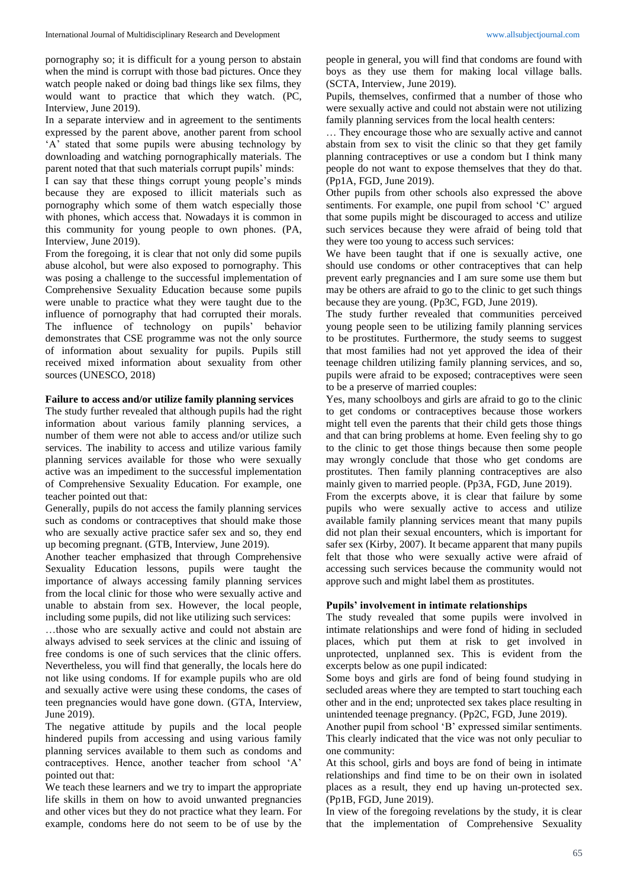pornography so; it is difficult for a young person to abstain when the mind is corrupt with those bad pictures. Once they watch people naked or doing bad things like sex films, they would want to practice that which they watch. (PC, Interview, June 2019).

In a separate interview and in agreement to the sentiments expressed by the parent above, another parent from school 'A' stated that some pupils were abusing technology by downloading and watching pornographically materials. The parent noted that that such materials corrupt pupils' minds:

I can say that these things corrupt young people's minds because they are exposed to illicit materials such as pornography which some of them watch especially those with phones, which access that. Nowadays it is common in this community for young people to own phones. (PA, Interview, June 2019).

From the foregoing, it is clear that not only did some pupils abuse alcohol, but were also exposed to pornography. This was posing a challenge to the successful implementation of Comprehensive Sexuality Education because some pupils were unable to practice what they were taught due to the influence of pornography that had corrupted their morals. The influence of technology on pupils' behavior demonstrates that CSE programme was not the only source of information about sexuality for pupils. Pupils still received mixed information about sexuality from other sources (UNESCO, 2018)

## **Failure to access and/or utilize family planning services**

The study further revealed that although pupils had the right information about various family planning services, a number of them were not able to access and/or utilize such services. The inability to access and utilize various family planning services available for those who were sexually active was an impediment to the successful implementation of Comprehensive Sexuality Education. For example, one teacher pointed out that:

Generally, pupils do not access the family planning services such as condoms or contraceptives that should make those who are sexually active practice safer sex and so, they end up becoming pregnant. (GTB, Interview, June 2019).

Another teacher emphasized that through Comprehensive Sexuality Education lessons, pupils were taught the importance of always accessing family planning services from the local clinic for those who were sexually active and unable to abstain from sex. However, the local people, including some pupils, did not like utilizing such services:

…those who are sexually active and could not abstain are always advised to seek services at the clinic and issuing of free condoms is one of such services that the clinic offers. Nevertheless, you will find that generally, the locals here do not like using condoms. If for example pupils who are old and sexually active were using these condoms, the cases of teen pregnancies would have gone down. (GTA, Interview, June 2019).

The negative attitude by pupils and the local people hindered pupils from accessing and using various family planning services available to them such as condoms and contraceptives. Hence, another teacher from school 'A' pointed out that:

We teach these learners and we try to impart the appropriate life skills in them on how to avoid unwanted pregnancies and other vices but they do not practice what they learn. For example, condoms here do not seem to be of use by the

people in general, you will find that condoms are found with boys as they use them for making local village balls. (SCTA, Interview, June 2019).

Pupils, themselves, confirmed that a number of those who were sexually active and could not abstain were not utilizing family planning services from the local health centers:

… They encourage those who are sexually active and cannot abstain from sex to visit the clinic so that they get family planning contraceptives or use a condom but I think many people do not want to expose themselves that they do that. (Pp1A, FGD, June 2019).

Other pupils from other schools also expressed the above sentiments. For example, one pupil from school 'C' argued that some pupils might be discouraged to access and utilize such services because they were afraid of being told that they were too young to access such services:

We have been taught that if one is sexually active, one should use condoms or other contraceptives that can help prevent early pregnancies and I am sure some use them but may be others are afraid to go to the clinic to get such things because they are young. (Pp3C, FGD, June 2019).

The study further revealed that communities perceived young people seen to be utilizing family planning services to be prostitutes. Furthermore, the study seems to suggest that most families had not yet approved the idea of their teenage children utilizing family planning services, and so, pupils were afraid to be exposed; contraceptives were seen to be a preserve of married couples:

Yes, many schoolboys and girls are afraid to go to the clinic to get condoms or contraceptives because those workers might tell even the parents that their child gets those things and that can bring problems at home. Even feeling shy to go to the clinic to get those things because then some people may wrongly conclude that those who get condoms are prostitutes. Then family planning contraceptives are also mainly given to married people. (Pp3A, FGD, June 2019).

From the excerpts above, it is clear that failure by some pupils who were sexually active to access and utilize available family planning services meant that many pupils did not plan their sexual encounters, which is important for safer sex (Kirby, 2007). It became apparent that many pupils felt that those who were sexually active were afraid of accessing such services because the community would not approve such and might label them as prostitutes.

#### **Pupils' involvement in intimate relationships**

The study revealed that some pupils were involved in intimate relationships and were fond of hiding in secluded places, which put them at risk to get involved in unprotected, unplanned sex. This is evident from the excerpts below as one pupil indicated:

Some boys and girls are fond of being found studying in secluded areas where they are tempted to start touching each other and in the end; unprotected sex takes place resulting in unintended teenage pregnancy. (Pp2C, FGD, June 2019).

Another pupil from school 'B' expressed similar sentiments. This clearly indicated that the vice was not only peculiar to one community:

At this school, girls and boys are fond of being in intimate relationships and find time to be on their own in isolated places as a result, they end up having un-protected sex. (Pp1B, FGD, June 2019).

In view of the foregoing revelations by the study, it is clear that the implementation of Comprehensive Sexuality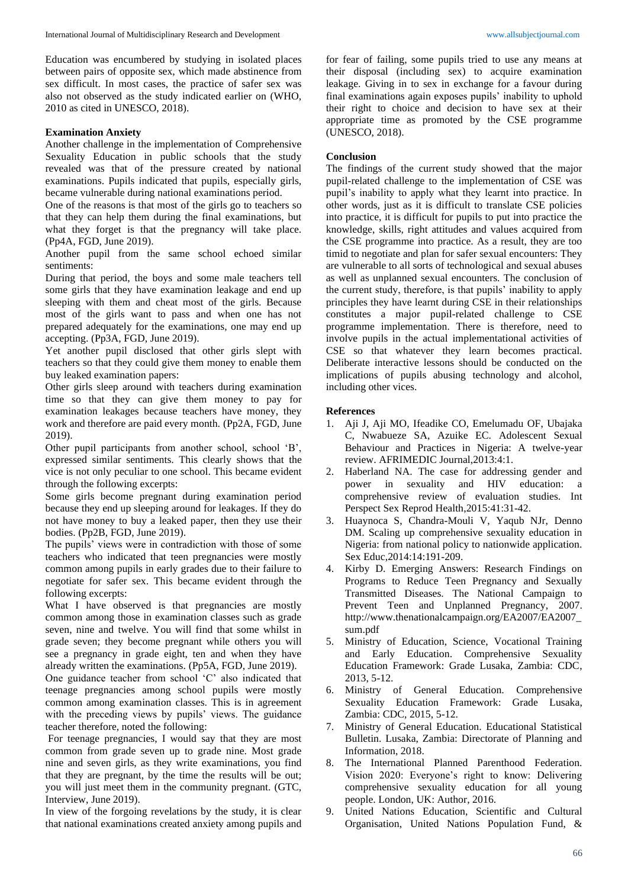Education was encumbered by studying in isolated places between pairs of opposite sex, which made abstinence from sex difficult. In most cases, the practice of safer sex was also not observed as the study indicated earlier on (WHO, 2010 as cited in UNESCO, 2018).

## **Examination Anxiety**

Another challenge in the implementation of Comprehensive Sexuality Education in public schools that the study revealed was that of the pressure created by national examinations. Pupils indicated that pupils, especially girls, became vulnerable during national examinations period.

One of the reasons is that most of the girls go to teachers so that they can help them during the final examinations, but what they forget is that the pregnancy will take place. (Pp4A, FGD, June 2019).

Another pupil from the same school echoed similar sentiments:

During that period, the boys and some male teachers tell some girls that they have examination leakage and end up sleeping with them and cheat most of the girls. Because most of the girls want to pass and when one has not prepared adequately for the examinations, one may end up accepting. (Pp3A, FGD, June 2019).

Yet another pupil disclosed that other girls slept with teachers so that they could give them money to enable them buy leaked examination papers:

Other girls sleep around with teachers during examination time so that they can give them money to pay for examination leakages because teachers have money, they work and therefore are paid every month. (Pp2A, FGD, June 2019).

Other pupil participants from another school, school 'B', expressed similar sentiments. This clearly shows that the vice is not only peculiar to one school. This became evident through the following excerpts:

Some girls become pregnant during examination period because they end up sleeping around for leakages. If they do not have money to buy a leaked paper, then they use their bodies. (Pp2B, FGD, June 2019).

The pupils' views were in contradiction with those of some teachers who indicated that teen pregnancies were mostly common among pupils in early grades due to their failure to negotiate for safer sex. This became evident through the following excerpts:

What I have observed is that pregnancies are mostly common among those in examination classes such as grade seven, nine and twelve. You will find that some whilst in grade seven; they become pregnant while others you will see a pregnancy in grade eight, ten and when they have already written the examinations. (Pp5A, FGD, June 2019).

One guidance teacher from school 'C' also indicated that teenage pregnancies among school pupils were mostly common among examination classes. This is in agreement with the preceding views by pupils' views. The guidance teacher therefore, noted the following:

For teenage pregnancies, I would say that they are most common from grade seven up to grade nine. Most grade nine and seven girls, as they write examinations, you find that they are pregnant, by the time the results will be out; you will just meet them in the community pregnant. (GTC, Interview, June 2019).

In view of the forgoing revelations by the study, it is clear that national examinations created anxiety among pupils and for fear of failing, some pupils tried to use any means at their disposal (including sex) to acquire examination leakage. Giving in to sex in exchange for a favour during final examinations again exposes pupils' inability to uphold their right to choice and decision to have sex at their appropriate time as promoted by the CSE programme (UNESCO, 2018).

## **Conclusion**

The findings of the current study showed that the major pupil-related challenge to the implementation of CSE was pupil's inability to apply what they learnt into practice. In other words, just as it is difficult to translate CSE policies into practice, it is difficult for pupils to put into practice the knowledge, skills, right attitudes and values acquired from the CSE programme into practice. As a result, they are too timid to negotiate and plan for safer sexual encounters: They are vulnerable to all sorts of technological and sexual abuses as well as unplanned sexual encounters. The conclusion of the current study, therefore, is that pupils' inability to apply principles they have learnt during CSE in their relationships constitutes a major pupil-related challenge to CSE programme implementation. There is therefore, need to involve pupils in the actual implementational activities of CSE so that whatever they learn becomes practical. Deliberate interactive lessons should be conducted on the implications of pupils abusing technology and alcohol, including other vices.

## **References**

- 1. Aji J, Aji MO, Ifeadike CO, Emelumadu OF, Ubajaka C, Nwabueze SA, Azuike EC. Adolescent Sexual Behaviour and Practices in Nigeria: A twelve-year review. AFRIMEDIC Journal,2013:4:1.
- 2. Haberland NA. The case for addressing gender and power in sexuality and HIV education: a comprehensive review of evaluation studies. Int Perspect Sex Reprod Health,2015:41:31-42.
- 3. Huaynoca S, Chandra-Mouli V, Yaqub NJr, Denno DM. Scaling up comprehensive sexuality education in Nigeria: from national policy to nationwide application. Sex Educ,2014:14:191-209.
- 4. Kirby D. Emerging Answers: Research Findings on Programs to Reduce Teen Pregnancy and Sexually Transmitted Diseases. The National Campaign to Prevent Teen and Unplanned Pregnancy, 2007. http://www.thenationalcampaign.org/EA2007/EA2007\_ sum.pdf
- 5. Ministry of Education, Science, Vocational Training and Early Education. Comprehensive Sexuality Education Framework: Grade Lusaka, Zambia: CDC, 2013, 5-12.
- 6. Ministry of General Education. Comprehensive Sexuality Education Framework: Grade Lusaka, Zambia: CDC, 2015, 5-12.
- 7. Ministry of General Education. Educational Statistical Bulletin. Lusaka, Zambia: Directorate of Planning and Information, 2018.
- 8. The International Planned Parenthood Federation. Vision 2020: Everyone's right to know: Delivering comprehensive sexuality education for all young people. London, UK: Author, 2016.
- 9. United Nations Education, Scientific and Cultural Organisation, United Nations Population Fund, &